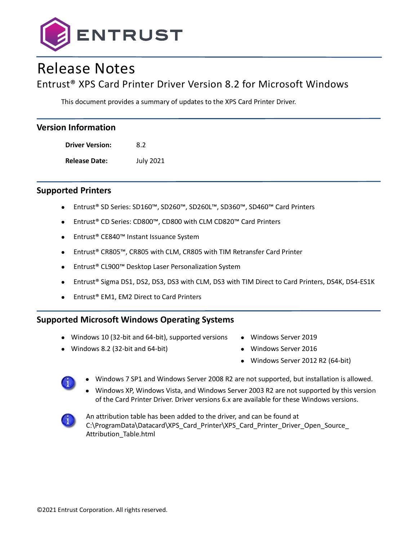

# Release Notes

# Entrust® XPS Card Printer Driver Version 8.2 for Microsoft Windows

This document provides a summary of updates to the XPS Card Printer Driver.

| <b>Version Information</b> |                  |  |  |
|----------------------------|------------------|--|--|
| <b>Driver Version:</b>     | 8.2              |  |  |
| <b>Release Date:</b>       | <b>July 2021</b> |  |  |
|                            |                  |  |  |

### **Supported Printers**

- Entrust® SD Series: SD160™, SD260™, SD260L™, SD360™, SD460™ Card Printers
- Entrust® CD Series: CD800™, CD800 with CLM CD820™ Card Printers
- Entrust® CE840™ Instant Issuance System
- Entrust® CR805™, CR805 with CLM, CR805 with TIM Retransfer Card Printer
- Entrust® CL900™ Desktop Laser Personalization System
- Entrust® Sigma DS1, DS2, DS3, DS3 with CLM, DS3 with TIM Direct to Card Printers, DS4K, DS4-ES1K
- Entrust® EM1, EM2 Direct to Card Printers

### **Supported Microsoft Windows Operating Systems**

- Windows 10 (32-bit and 64-bit), supported versions
- Windows 8.2 (32-bit and 64-bit)
- Windows Server 2019
- Windows Server 2016
- Windows Server 2012 R2 (64-bit)



- Windows 7 SP1 and Windows Server 2008 R2 are not supported, but installation is allowed.
- Windows XP, Windows Vista, and Windows Server 2003 R2 are not supported by this version of the Card Printer Driver. Driver versions 6.x are available for these Windows versions.



An attribution table has been added to the driver, and can be found at C:\ProgramData\Datacard\XPS\_Card\_Printer\XPS\_Card\_Printer\_Driver\_Open\_Source\_ Attribution\_Table.html